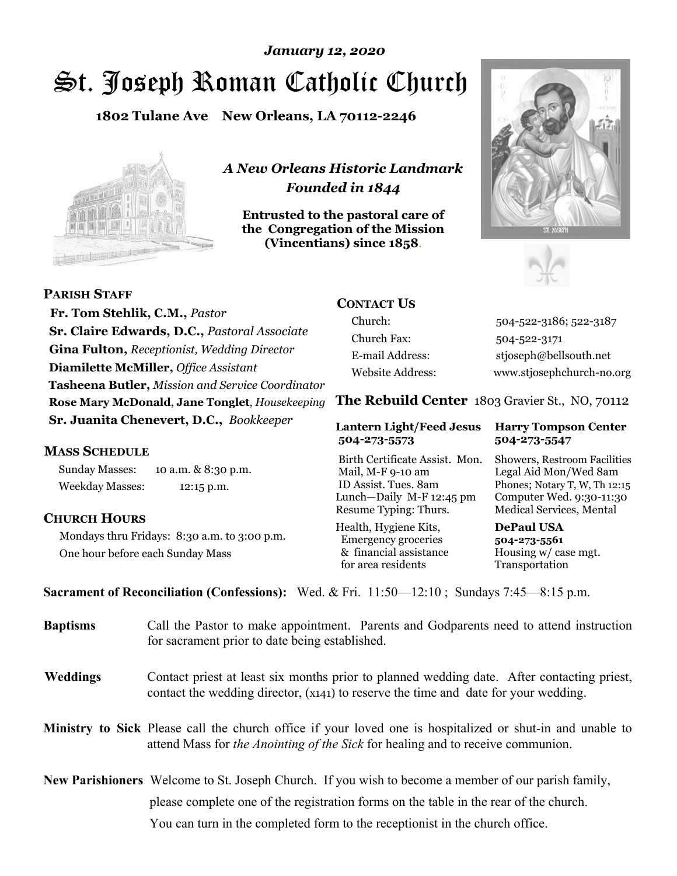# St. Joseph Roman Catholic Church *January 12, 2020*

**1802 Tulane Ave New Orleans, LA 70112-2246**



*A New Orleans Historic Landmark Founded in 1844* 

**Entrusted to the pastoral care of the Congregation of the Mission (Vincentians) since 1858**.





 **Fr. Tom Stehlik, C.M.,** *Pastor* **Sr. Claire Edwards, D.C.,** *Pastoral Associate* **Gina Fulton,** *Receptionist, Wedding Director* **Diamilette McMiller,** *Office Assistant* **Tasheena Butler,** *Mission and Service Coordinator* **Rose Mary McDonald**, **Jane Tonglet**, *Housekeeping* **Sr. Juanita Chenevert, D.C.,** *Bookkeeper* 

#### **MASS SCHEDULE**

**PARISH STAFF**

Sunday Masses: 10 a.m. & 8:30 p.m. Weekday Masses: 12:15 p.m.

#### **CHURCH HOURS**

Mondays thru Fridays: 8:30 a.m. to 3:00 p.m. One hour before each Sunday Mass

# **CONTACT US**

Church: 504-522-3186; 522-3187 Church Fax: 504-522-3171 E-mail Address: stjoseph@bellsouth.net Website Address: www.stjosephchurch-no.org

**The Rebuild Center** 1803 Gravier St., NO, 70112

#### **Lantern Light/Feed Jesus Harry Tompson Center 504-273-5573 504-273-5547**

Birth Certificate Assist. Mon. Showers, Restroom Facilities Mail, M-F 9-10 am Legal Aid Mon/Wed 8am ID Assist. Tues. 8am Phones; Notary T, W, Th 12:15 Lunch—Daily M-F 12:45 pm Computer Wed. 9:30-11:30 Resume Typing: Thurs. Medical Services, Mental

Health, Hygiene Kits, **DePaul USA**  Emergency groceries **504-273-5561** & financial assistance Housing w/ case mgt. for area residents Transportation

**Sacrament of Reconciliation (Confessions):** Wed. & Fri. 11:50—12:10 ; Sundays 7:45—8:15 p.m.

| <b>Baptisms</b> | Call the Pastor to make appointment. Parents and Godparents need to attend instruction<br>for sacrament prior to date being established.                                                            |  |  |
|-----------------|-----------------------------------------------------------------------------------------------------------------------------------------------------------------------------------------------------|--|--|
| <b>Weddings</b> | Contact priest at least six months prior to planned wedding date. After contacting priest,<br>contact the wedding director, (x141) to reserve the time and date for your wedding.                   |  |  |
|                 | <b>Ministry to Sick</b> Please call the church office if your loved one is hospitalized or shut-in and unable to<br>attend Mass for the Anointing of the Sick for healing and to receive communion. |  |  |
|                 | <b>New Parishioners</b> Welcome to St. Joseph Church. If you wish to become a member of our parish family,                                                                                          |  |  |
|                 | please complete one of the registration forms on the table in the rear of the church.                                                                                                               |  |  |
|                 | You can turn in the completed form to the reception is the church office.                                                                                                                           |  |  |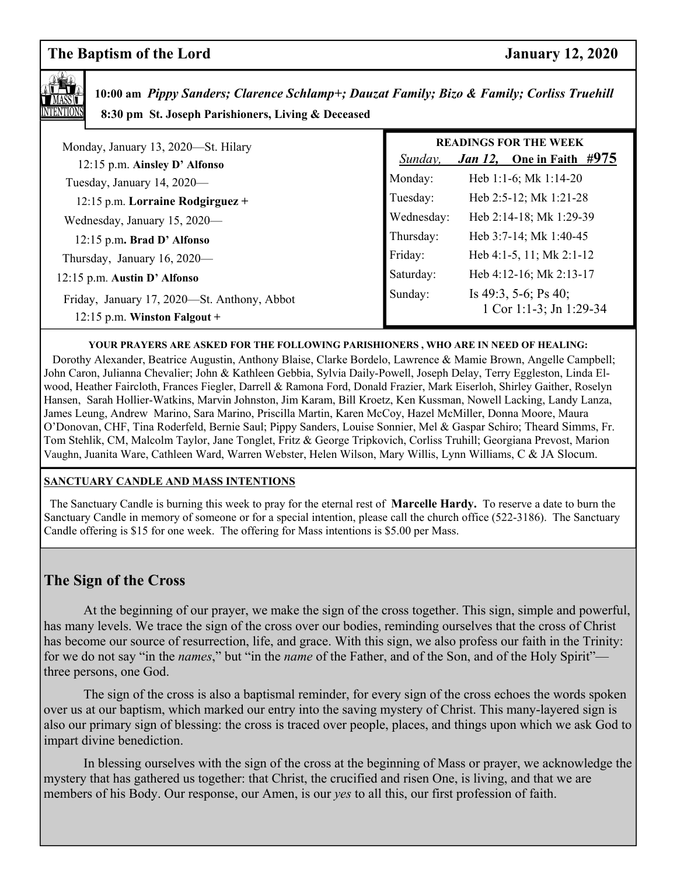# **The Baptism of the Lord January 12, 2020**



 **10:00 am** *Pippy Sanders; Clarence Schlamp+; Dauzat Family; Bizo & Family; Corliss Truehill*  **8:30 pm St. Joseph Parishioners, Living & Deceased** 

| Monday, January 13, 2020-St. Hilary<br>12:15 p.m. Ainsley D' Alfonso        | <b>READINGS FOR THE WEEK</b><br><i>Jan 12</i> , One in Faith $\#975$<br>Sunday, |                                                 |  |
|-----------------------------------------------------------------------------|---------------------------------------------------------------------------------|-------------------------------------------------|--|
| Tuesday, January 14, 2020-                                                  | Monday:                                                                         | Heb 1:1-6; Mk 1:14-20                           |  |
| 12:15 p.m. Lorraine Rodgirguez +                                            | Tuesday:                                                                        | Heb 2:5-12; Mk 1:21-28                          |  |
| Wednesday, January 15, 2020-                                                | Wednesday:                                                                      | Heb 2:14-18; Mk 1:29-39                         |  |
| 12:15 p.m. Brad D' Alfonso                                                  | Thursday:                                                                       | Heb 3:7-14; Mk 1:40-45                          |  |
| Thursday, January 16, 2020—                                                 | Friday:                                                                         | Heb $4:1-5$ , 11; Mk $2:1-12$                   |  |
| 12:15 p.m. Austin D' Alfonso                                                | Saturday:                                                                       | Heb 4:12-16; Mk 2:13-17                         |  |
| Friday, January 17, 2020-St. Anthony, Abbot<br>12:15 p.m. Winston Falgout + | Sunday:                                                                         | Is 49:3, 5-6; Ps 40;<br>1 Cor 1:1-3; Jn 1:29-34 |  |

#### **YOUR PRAYERS ARE ASKED FOR THE FOLLOWING PARISHIONERS , WHO ARE IN NEED OF HEALING:**

 Dorothy Alexander, Beatrice Augustin, Anthony Blaise, Clarke Bordelo, Lawrence & Mamie Brown, Angelle Campbell; John Caron, Julianna Chevalier; John & Kathleen Gebbia, Sylvia Daily-Powell, Joseph Delay, Terry Eggleston, Linda Elwood, Heather Faircloth, Frances Fiegler, Darrell & Ramona Ford, Donald Frazier, Mark Eiserloh, Shirley Gaither, Roselyn Hansen, Sarah Hollier-Watkins, Marvin Johnston, Jim Karam, Bill Kroetz, Ken Kussman, Nowell Lacking, Landy Lanza, James Leung, Andrew Marino, Sara Marino, Priscilla Martin, Karen McCoy, Hazel McMiller, Donna Moore, Maura O'Donovan, CHF, Tina Roderfeld, Bernie Saul; Pippy Sanders, Louise Sonnier, Mel & Gaspar Schiro; Theard Simms, Fr. Tom Stehlik, CM, Malcolm Taylor, Jane Tonglet, Fritz & George Tripkovich, Corliss Truhill; Georgiana Prevost, Marion Vaughn, Juanita Ware, Cathleen Ward, Warren Webster, Helen Wilson, Mary Willis, Lynn Williams, C & JA Slocum.

#### **SANCTUARY CANDLE AND MASS INTENTIONS**

 The Sanctuary Candle is burning this week to pray for the eternal rest of **Marcelle Hardy.** To reserve a date to burn the Sanctuary Candle in memory of someone or for a special intention, please call the church office (522-3186). The Sanctuary Candle offering is \$15 for one week. The offering for Mass intentions is \$5.00 per Mass.

# **The Sign of the Cross**

At the beginning of our prayer, we make the sign of the cross together. This sign, simple and powerful, has many levels. We trace the sign of the cross over our bodies, reminding ourselves that the cross of Christ has become our source of resurrection, life, and grace. With this sign, we also profess our faith in the Trinity: for we do not say "in the *names*," but "in the *name* of the Father, and of the Son, and of the Holy Spirit" three persons, one God.

 The sign of the cross is also a baptismal reminder, for every sign of the cross echoes the words spoken over us at our baptism, which marked our entry into the saving mystery of Christ. This many-layered sign is also our primary sign of blessing: the cross is traced over people, places, and things upon which we ask God to impart divine benediction.

 In blessing ourselves with the sign of the cross at the beginning of Mass or prayer, we acknowledge the mystery that has gathered us together: that Christ, the crucified and risen One, is living, and that we are members of his Body. Our response, our Amen, is our *yes* to all this, our first profession of faith.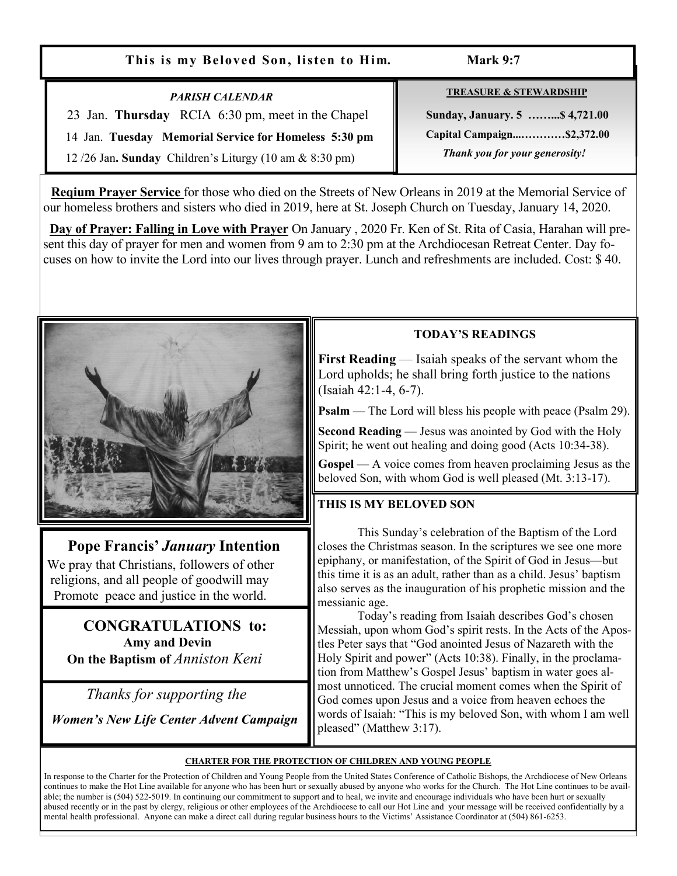#### **This is my Beloved Son, listen to Him. Mark 9:7**

#### *PARISH CALENDAR*

23 Jan. **Thursday** RCIA 6:30 pm, meet in the Chapel

14 Jan. **Tuesday Memorial Service for Homeless 5:30 pm** 

12 /26 Jan**. Sunday** Children's Liturgy (10 am & 8:30 pm)

**TREASURE & STEWARDSHIP**

 **Sunday, January. 5 ……...\$ 4,721.00 Capital Campaign...…………\$2,372.00**   *Thank you for your generosity!* 

 **Reqium Prayer Service** for those who died on the Streets of New Orleans in 2019 at the Memorial Service of our homeless brothers and sisters who died in 2019, here at St. Joseph Church on Tuesday, January 14, 2020.

 **Day of Prayer: Falling in Love with Prayer** On January , 2020 Fr. Ken of St. Rita of Casia, Harahan will present this day of prayer for men and women from 9 am to 2:30 pm at the Archdiocesan Retreat Center. Day focuses on how to invite the Lord into our lives through prayer. Lunch and refreshments are included. Cost: \$ 40.



# **Pope Francis'** *January* **Intention**

 We pray that Christians, followers of other religions, and all people of goodwill may Promote peace and justice in the world.

# **CONGRATULATIONS to: Amy and Devin On the Baptism of** *Anniston Keni*

 *Thanks for supporting the* 

 *Women's New Life Center Advent Campaign*

# **TODAY'S READINGS**

**First Reading** — Isaiah speaks of the servant whom the Lord upholds; he shall bring forth justice to the nations (Isaiah 42:1-4, 6-7).

**Psalm** — The Lord will bless his people with peace (Psalm 29).

**Second Reading** — Jesus was anointed by God with the Holy Spirit; he went out healing and doing good (Acts 10:34-38).

**Gospel** — A voice comes from heaven proclaiming Jesus as the beloved Son, with whom God is well pleased (Mt. 3:13-17).

# **THIS IS MY BELOVED SON**

 This Sunday's celebration of the Baptism of the Lord closes the Christmas season. In the scriptures we see one more epiphany, or manifestation, of the Spirit of God in Jesus—but this time it is as an adult, rather than as a child. Jesus' baptism also serves as the inauguration of his prophetic mission and the messianic age.

 Today's reading from Isaiah describes God's chosen Messiah, upon whom God's spirit rests. In the Acts of the Apostles Peter says that "God anointed Jesus of Nazareth with the Holy Spirit and power" (Acts 10:38). Finally, in the proclamation from Matthew's Gospel Jesus' baptism in water goes almost unnoticed. The crucial moment comes when the Spirit of God comes upon Jesus and a voice from heaven echoes the words of Isaiah: "This is my beloved Son, with whom I am well pleased" (Matthew 3:17).

#### **CHARTER FOR THE PROTECTION OF CHILDREN AND YOUNG PEOPLE**

In response to the Charter for the Protection of Children and Young People from the United States Conference of Catholic Bishops, the Archdiocese of New Orleans continues to make the Hot Line available for anyone who has been hurt or sexually abused by anyone who works for the Church. The Hot Line continues to be available; the number is (504) 522-5019. In continuing our commitment to support and to heal, we invite and encourage individuals who have been hurt or sexually abused recently or in the past by clergy, religious or other employees of the Archdiocese to call our Hot Line and your message will be received confidentially by a mental health professional. Anyone can make a direct call during regular business hours to the Victims' Assistance Coordinator at (504) 861-6253.